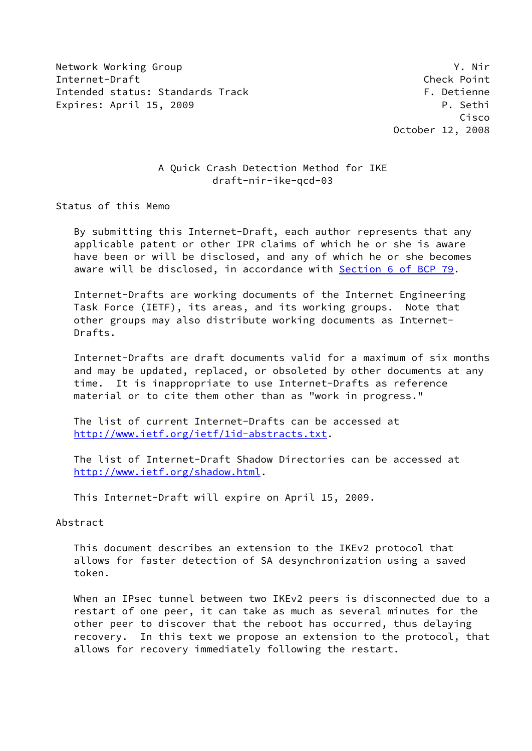Network Working Group Y. Nir Internet-Draft Check Point Intended status: Standards Track F. Detienne Expires: April 15, 2009 **P. Sethi** 

 Cisco October 12, 2008

# A Quick Crash Detection Method for IKE draft-nir-ike-qcd-03

Status of this Memo

 By submitting this Internet-Draft, each author represents that any applicable patent or other IPR claims of which he or she is aware have been or will be disclosed, and any of which he or she becomes aware will be disclosed, in accordance with Section [6 of BCP 79.](https://datatracker.ietf.org/doc/pdf/bcp79#section-6)

 Internet-Drafts are working documents of the Internet Engineering Task Force (IETF), its areas, and its working groups. Note that other groups may also distribute working documents as Internet- Drafts.

 Internet-Drafts are draft documents valid for a maximum of six months and may be updated, replaced, or obsoleted by other documents at any time. It is inappropriate to use Internet-Drafts as reference material or to cite them other than as "work in progress."

 The list of current Internet-Drafts can be accessed at <http://www.ietf.org/ietf/1id-abstracts.txt>.

 The list of Internet-Draft Shadow Directories can be accessed at <http://www.ietf.org/shadow.html>.

This Internet-Draft will expire on April 15, 2009.

#### Abstract

 This document describes an extension to the IKEv2 protocol that allows for faster detection of SA desynchronization using a saved token.

 When an IPsec tunnel between two IKEv2 peers is disconnected due to a restart of one peer, it can take as much as several minutes for the other peer to discover that the reboot has occurred, thus delaying recovery. In this text we propose an extension to the protocol, that allows for recovery immediately following the restart.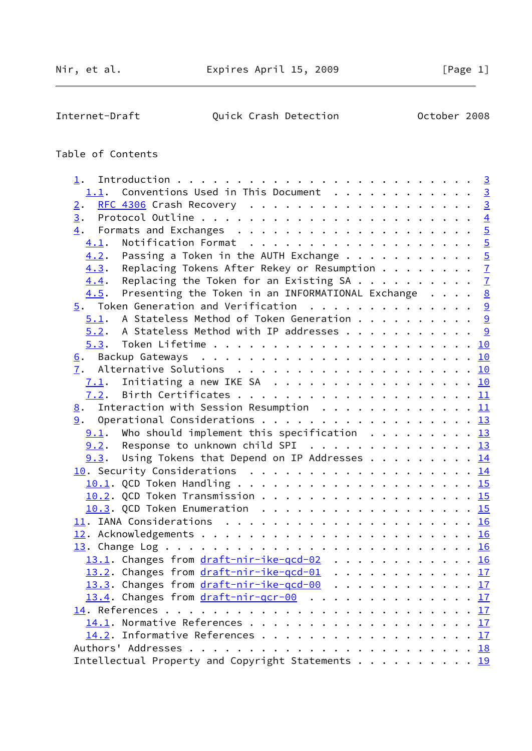$\overline{a}$ 

Internet-Draft Quick Crash Detection October 2008

# Table of Contents

| 1.                                                                                                      |  |  |  |  |                |
|---------------------------------------------------------------------------------------------------------|--|--|--|--|----------------|
| 1.1. Conventions Used in This Document 3                                                                |  |  |  |  |                |
| 2.                                                                                                      |  |  |  |  |                |
| 3.                                                                                                      |  |  |  |  | $\overline{4}$ |
|                                                                                                         |  |  |  |  |                |
| 4.1.                                                                                                    |  |  |  |  |                |
| Passing a Token in the AUTH Exchange $\cdots$ 5<br>4.2.                                                 |  |  |  |  |                |
| Replacing Tokens After Rekey or Resumption $\frac{7}{2}$<br>4.3.                                        |  |  |  |  |                |
| Replacing the Token for an Existing SA $\frac{7}{2}$<br>4.4.                                            |  |  |  |  |                |
| Presenting the Token in an INFORMATIONAL Exchange $\cdot \cdot \cdot$ $\cdot \cdot \frac{8}{5}$<br>4.5. |  |  |  |  |                |
| $\frac{5}{2}$ . Token Generation and Verification 9                                                     |  |  |  |  |                |
| $\underline{5.1}$ . A Stateless Method of Token Generation 9                                            |  |  |  |  |                |
| $5.2$ . A Stateless Method with IP addresses 9                                                          |  |  |  |  |                |
| 5.3.                                                                                                    |  |  |  |  |                |
|                                                                                                         |  |  |  |  |                |
| 7.                                                                                                      |  |  |  |  |                |
|                                                                                                         |  |  |  |  |                |
|                                                                                                         |  |  |  |  |                |
| $\underline{8}$ . Interaction with Session Resumption 11                                                |  |  |  |  |                |
|                                                                                                         |  |  |  |  |                |
| $9.1$ . Who should implement this specification 13                                                      |  |  |  |  |                |
| $9.2$ . Response to unknown child SPI 13                                                                |  |  |  |  |                |
| $9.3$ . Using Tokens that Depend on IP Addresses 14                                                     |  |  |  |  |                |
| 10. Security Considerations 14                                                                          |  |  |  |  |                |
|                                                                                                         |  |  |  |  |                |
|                                                                                                         |  |  |  |  |                |
| 10.2. QCD Token Transmission 15                                                                         |  |  |  |  |                |
| 10.3. QCD Token Enumeration 15                                                                          |  |  |  |  |                |
|                                                                                                         |  |  |  |  |                |
|                                                                                                         |  |  |  |  |                |
|                                                                                                         |  |  |  |  |                |
| 13.1. Changes from draft-nir-ike-qcd-02 16                                                              |  |  |  |  |                |
| 13.2. Changes from draft-nir-ike-qcd-01 17                                                              |  |  |  |  |                |
| 13.3. Changes from draft-nir-ike-gcd-00 17                                                              |  |  |  |  |                |
| 13.4. Changes from draft-nir-qcr-00 17                                                                  |  |  |  |  |                |
|                                                                                                         |  |  |  |  | 17             |
|                                                                                                         |  |  |  |  |                |
| 14.2. Informative References 17                                                                         |  |  |  |  |                |
|                                                                                                         |  |  |  |  |                |
| Intellectual Property and Copyright Statements 19                                                       |  |  |  |  |                |
|                                                                                                         |  |  |  |  |                |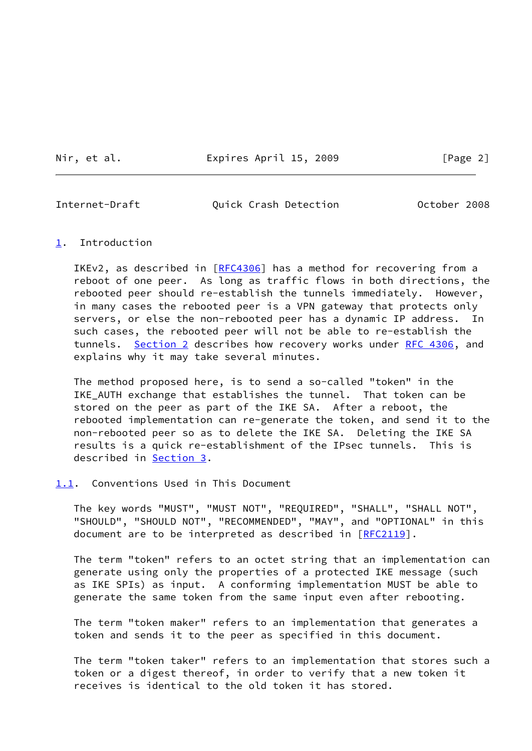Nir, et al. **Expires April 15, 2009** [Page 2]

<span id="page-2-1"></span>Internet-Draft Quick Crash Detection October 2008

### <span id="page-2-0"></span>[1](#page-2-0). Introduction

IKEv2, as described in [\[RFC4306](https://datatracker.ietf.org/doc/pdf/rfc4306)] has a method for recovering from a reboot of one peer. As long as traffic flows in both directions, the rebooted peer should re-establish the tunnels immediately. However, in many cases the rebooted peer is a VPN gateway that protects only servers, or else the non-rebooted peer has a dynamic IP address. In such cases, the rebooted peer will not be able to re-establish the tunnels. [Section 2](#page-3-0) describes how recovery works under [RFC 4306,](https://datatracker.ietf.org/doc/pdf/rfc4306) and explains why it may take several minutes.

 The method proposed here, is to send a so-called "token" in the IKE\_AUTH exchange that establishes the tunnel. That token can be stored on the peer as part of the IKE SA. After a reboot, the rebooted implementation can re-generate the token, and send it to the non-rebooted peer so as to delete the IKE SA. Deleting the IKE SA results is a quick re-establishment of the IPsec tunnels. This is described in [Section 3](#page-3-1).

#### <span id="page-2-2"></span>[1.1](#page-2-2). Conventions Used in This Document

 The key words "MUST", "MUST NOT", "REQUIRED", "SHALL", "SHALL NOT", "SHOULD", "SHOULD NOT", "RECOMMENDED", "MAY", and "OPTIONAL" in this document are to be interpreted as described in [\[RFC2119](https://datatracker.ietf.org/doc/pdf/rfc2119)].

 The term "token" refers to an octet string that an implementation can generate using only the properties of a protected IKE message (such as IKE SPIs) as input. A conforming implementation MUST be able to generate the same token from the same input even after rebooting.

 The term "token maker" refers to an implementation that generates a token and sends it to the peer as specified in this document.

 The term "token taker" refers to an implementation that stores such a token or a digest thereof, in order to verify that a new token it receives is identical to the old token it has stored.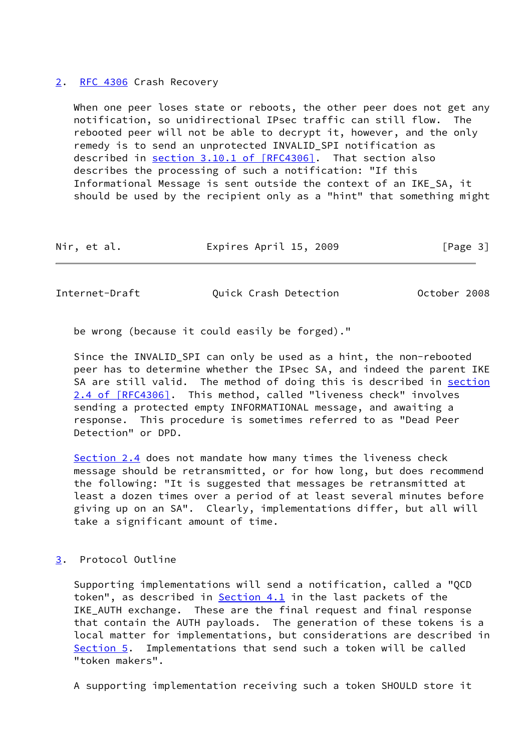#### <span id="page-3-0"></span>[2](#page-3-0). [RFC 4306](https://datatracker.ietf.org/doc/pdf/rfc4306) Crash Recovery

When one peer loses state or reboots, the other peer does not get any notification, so unidirectional IPsec traffic can still flow. The rebooted peer will not be able to decrypt it, however, and the only remedy is to send an unprotected INVALID\_SPI notification as described in section [3.10.1 of \[RFC4306\]](https://datatracker.ietf.org/doc/pdf/rfc4306#section-3.10.1). That section also describes the processing of such a notification: "If this Informational Message is sent outside the context of an IKE\_SA, it should be used by the recipient only as a "hint" that something might

| Nir, et al. | Expires April 15, 2009 | [Page 3] |
|-------------|------------------------|----------|
|-------------|------------------------|----------|

<span id="page-3-2"></span>Internet-Draft Quick Crash Detection October 2008

be wrong (because it could easily be forged)."

 Since the INVALID\_SPI can only be used as a hint, the non-rebooted peer has to determine whether the IPsec SA, and indeed the parent IKE SA are still valid. The method of doing this is described in [section](https://datatracker.ietf.org/doc/pdf/rfc4306#section-2.4) [2.4 of \[RFC4306\]](https://datatracker.ietf.org/doc/pdf/rfc4306#section-2.4). This method, called "liveness check" involves sending a protected empty INFORMATIONAL message, and awaiting a response. This procedure is sometimes referred to as "Dead Peer Detection" or DPD.

 Section 2.4 does not mandate how many times the liveness check message should be retransmitted, or for how long, but does recommend the following: "It is suggested that messages be retransmitted at least a dozen times over a period of at least several minutes before giving up on an SA". Clearly, implementations differ, but all will take a significant amount of time.

## <span id="page-3-1"></span>[3](#page-3-1). Protocol Outline

 Supporting implementations will send a notification, called a "QCD token", as described in  $Section 4.1$  in the last packets of the IKE\_AUTH exchange. These are the final request and final response that contain the AUTH payloads. The generation of these tokens is a local matter for implementations, but considerations are described in [Section 5](#page-9-0). Implementations that send such a token will be called "token makers".

A supporting implementation receiving such a token SHOULD store it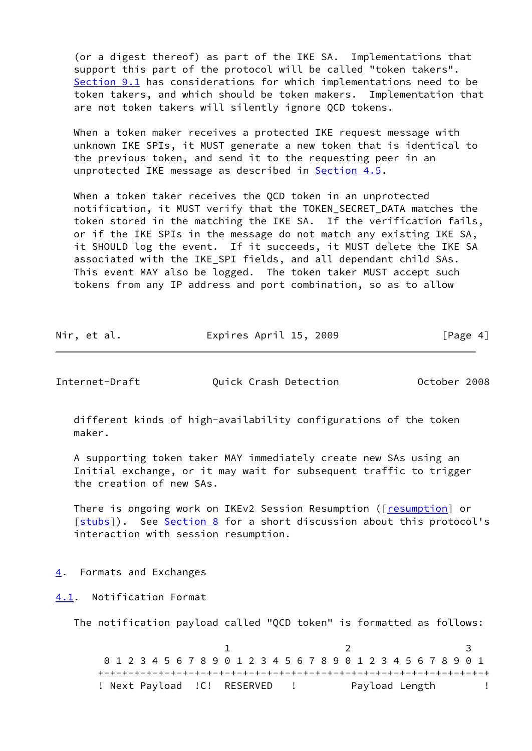(or a digest thereof) as part of the IKE SA. Implementations that support this part of the protocol will be called "token takers". [Section 9.1](#page-13-2) has considerations for which implementations need to be token takers, and which should be token makers. Implementation that are not token takers will silently ignore QCD tokens.

 When a token maker receives a protected IKE request message with unknown IKE SPIs, it MUST generate a new token that is identical to the previous token, and send it to the requesting peer in an unprotected IKE message as described in [Section 4.5](#page-8-0).

 When a token taker receives the QCD token in an unprotected notification, it MUST verify that the TOKEN\_SECRET\_DATA matches the token stored in the matching the IKE SA. If the verification fails, or if the IKE SPIs in the message do not match any existing IKE SA, it SHOULD log the event. If it succeeds, it MUST delete the IKE SA associated with the IKE\_SPI fields, and all dependant child SAs. This event MAY also be logged. The token taker MUST accept such tokens from any IP address and port combination, so as to allow

| Nir, et al. | Expires April 15, 2009 | [Page 4] |
|-------------|------------------------|----------|
|             |                        |          |

<span id="page-4-1"></span>Internet-Draft Quick Crash Detection October 2008

 different kinds of high-availability configurations of the token maker.

 A supporting token taker MAY immediately create new SAs using an Initial exchange, or it may wait for subsequent traffic to trigger the creation of new SAs.

There is ongoing work on IKEv2 Session Resumption ([[resumption\]](#page-19-2) or [\[stubs](#page-19-3)]). See [Section 8](#page-11-2) for a short discussion about this protocol's interaction with session resumption.

# <span id="page-4-0"></span>[4](#page-4-0). Formats and Exchanges

<span id="page-4-2"></span>[4.1](#page-4-2). Notification Format

The notification payload called "QCD token" is formatted as follows:

1 2 3 0 1 2 3 4 5 6 7 8 9 0 1 2 3 4 5 6 7 8 9 0 1 2 3 4 5 6 7 8 9 0 1 +-+-+-+-+-+-+-+-+-+-+-+-+-+-+-+-+-+-+-+-+-+-+-+-+-+-+-+-+-+-+-+-+ ! Next Payload !C! RESERVED ! Payload Length !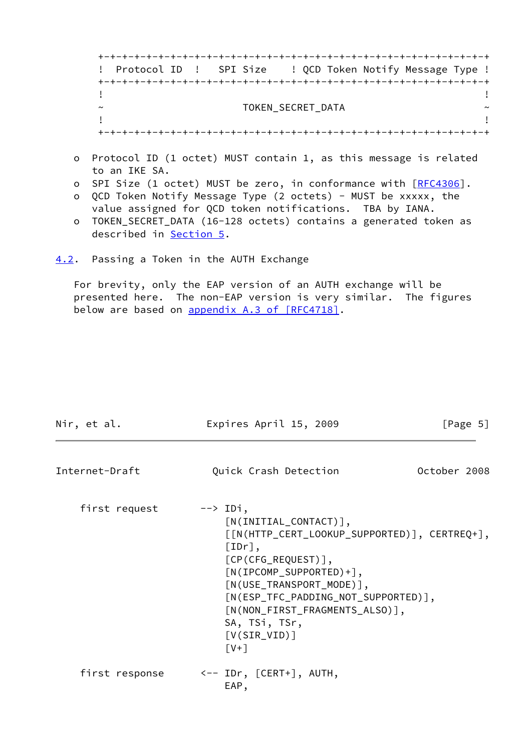+-+-+-+-+-+-+-+-+-+-+-+-+-+-+-+-+-+-+-+-+-+-+-+-+-+-+-+-+-+-+-+-+ ! Protocol ID ! SPI Size ! QCD Token Notify Message Type ! +-+-+-+-+-+-+-+-+-+-+-+-+-+-+-+-+-+-+-+-+-+-+-+-+-+-+-+-+-+-+-+-+ . The contract of the contract of the contract of the contract of the contract of the contract of the contract ~ TOKEN\_SECRET\_DATA ~ . The contract of the contract of the contract of the contract of the contract of the contract of the contract +-+-+-+-+-+-+-+-+-+-+-+-+-+-+-+-+-+-+-+-+-+-+-+-+-+-+-+-+-+-+-+-+

- o Protocol ID (1 octet) MUST contain 1, as this message is related to an IKE SA.
- o SPI Size (1 octet) MUST be zero, in conformance with [\[RFC4306](https://datatracker.ietf.org/doc/pdf/rfc4306)].
- o QCD Token Notify Message Type (2 octets) MUST be xxxxx, the value assigned for QCD token notifications. TBA by IANA.
- o TOKEN\_SECRET\_DATA (16-128 octets) contains a generated token as described in **Section 5.**

<span id="page-5-0"></span>[4.2](#page-5-0). Passing a Token in the AUTH Exchange

 For brevity, only the EAP version of an AUTH exchange will be presented here. The non-EAP version is very similar. The figures below are based on appendix [A.3 of \[RFC4718\].](https://datatracker.ietf.org/doc/pdf/rfc4718#appendix-A.3)

| Nir, et al.    | Expires April 15, 2009                                                                                                                                                                                                                                                                                                                                                                 | [Page $5$ ]  |
|----------------|----------------------------------------------------------------------------------------------------------------------------------------------------------------------------------------------------------------------------------------------------------------------------------------------------------------------------------------------------------------------------------------|--------------|
| Internet-Draft | Quick Crash Detection                                                                                                                                                                                                                                                                                                                                                                  | October 2008 |
| first request  | $\leftarrow$ $\rightarrow$ IDi,<br>$[N(INITIAL$ $\subset$ $\subset$ $NTACT)$ ],<br>$[ [N(HTTP_CERT_LOOKUP_SUPPORTED) ], CERTREQ+]$ ,<br>$[IDr]$ ,<br>$[CP(CFG_REQUEST)],$<br>$[N(IPCOMP_SUPPORTED)+],$<br>$\lceil N(USE_TRANSPORT_MODE) \rceil$ ,<br>$[N(ESP_TFC_PADDING_NOT_SUPPORTED)],$<br>[N(NON_FIRST_FRAGMENTS_ALSO)],<br>SA, TSi, TSr,<br>$[V(SIR_VID)]$<br>$\lceil V+1 \rceil$ |              |
| first response | <-- IDr, [CERT+], AUTH,<br>EAP,                                                                                                                                                                                                                                                                                                                                                        |              |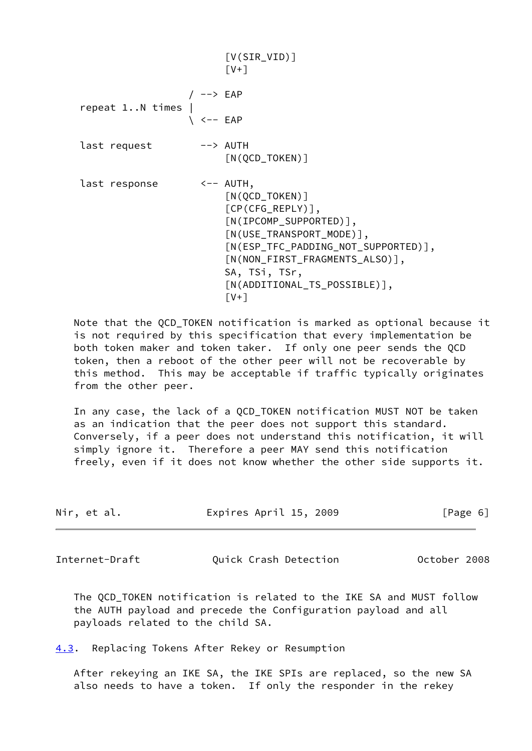|                   |                      | $[V(SIR_VID)]$<br>$\lceil V+1 \rceil$                                                                                                                                                                                                                                                          |
|-------------------|----------------------|------------------------------------------------------------------------------------------------------------------------------------------------------------------------------------------------------------------------------------------------------------------------------------------------|
|                   | / --> EAP            |                                                                                                                                                                                                                                                                                                |
| $repeat 1N times$ | $\backslash$ <-- EAP |                                                                                                                                                                                                                                                                                                |
| last request      |                      | --> AUTH<br>$\lceil N(QCD_TOKEN) \rceil$                                                                                                                                                                                                                                                       |
| last response     |                      | $\leftarrow -$ AUTH,<br>$\lceil N(QCD_TOKEN) \rceil$<br>$[CP(CFG\_REPLY)],$<br>$[N(IPCOMP_SUPPORTED)],$<br>$[N(USE_TRANSPORT_MODE)],$<br>[N(ESP_TFC_PADDING_NOT_SUPPORTED)],<br>[N(NON_FIRST_FRAGMENTS_ALSO)],<br>SA, TSi, TSr,<br>$\lceil N(\text{ADDITIONAL_TS_POSSIBLE}) \rceil$ ,<br>I V+1 |

 Note that the QCD\_TOKEN notification is marked as optional because it is not required by this specification that every implementation be both token maker and token taker. If only one peer sends the QCD token, then a reboot of the other peer will not be recoverable by this method. This may be acceptable if traffic typically originates from the other peer.

 In any case, the lack of a QCD\_TOKEN notification MUST NOT be taken as an indication that the peer does not support this standard. Conversely, if a peer does not understand this notification, it will simply ignore it. Therefore a peer MAY send this notification freely, even if it does not know whether the other side supports it.

| Nir, et al. | Expires April 15, 2009 | [Page 6] |
|-------------|------------------------|----------|
|             |                        |          |

<span id="page-6-1"></span>Internet-Draft Quick Crash Detection October 2008

 The QCD\_TOKEN notification is related to the IKE SA and MUST follow the AUTH payload and precede the Configuration payload and all payloads related to the child SA.

<span id="page-6-0"></span>[4.3](#page-6-0). Replacing Tokens After Rekey or Resumption

 After rekeying an IKE SA, the IKE SPIs are replaced, so the new SA also needs to have a token. If only the responder in the rekey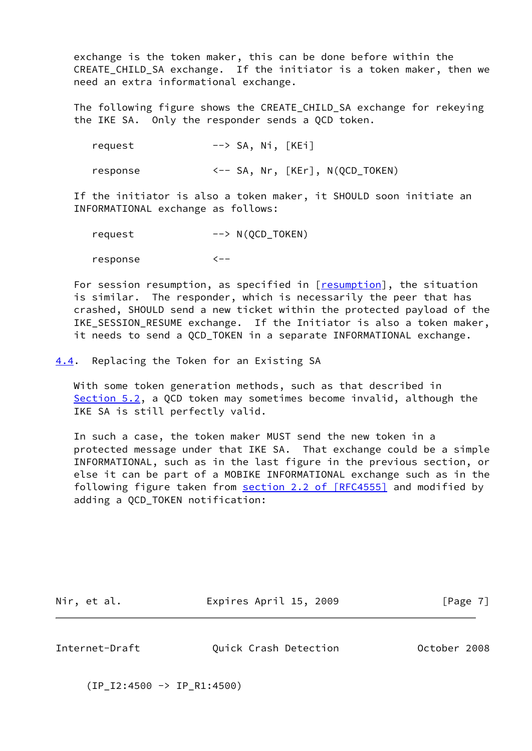exchange is the token maker, this can be done before within the CREATE\_CHILD\_SA exchange. If the initiator is a token maker, then we need an extra informational exchange.

 The following figure shows the CREATE\_CHILD\_SA exchange for rekeying the IKE SA. Only the responder sends a QCD token.

request --> SA, Ni, [KEi]

response <-- SA, Nr, [KEr], N(QCD\_TOKEN)

 If the initiator is also a token maker, it SHOULD soon initiate an INFORMATIONAL exchange as follows:

 request --> N(QCD\_TOKEN) response <--

 For session resumption, as specified in [\[resumption\]](#page-19-2), the situation is similar. The responder, which is necessarily the peer that has crashed, SHOULD send a new ticket within the protected payload of the IKE\_SESSION\_RESUME exchange. If the Initiator is also a token maker, it needs to send a QCD\_TOKEN in a separate INFORMATIONAL exchange.

<span id="page-7-0"></span>[4.4](#page-7-0). Replacing the Token for an Existing SA

 With some token generation methods, such as that described in [Section 5.2](#page-9-3), a QCD token may sometimes become invalid, although the IKE SA is still perfectly valid.

 In such a case, the token maker MUST send the new token in a protected message under that IKE SA. That exchange could be a simple INFORMATIONAL, such as in the last figure in the previous section, or else it can be part of a MOBIKE INFORMATIONAL exchange such as in the following figure taken from section [2.2 of \[RFC4555\]](https://datatracker.ietf.org/doc/pdf/rfc4555#section-2.2) and modified by adding a QCD\_TOKEN notification:

Nir, et al. **Expires April 15, 2009** [Page 7]

<span id="page-7-1"></span>Internet-Draft Quick Crash Detection October 2008

(IP\_I2:4500 -> IP\_R1:4500)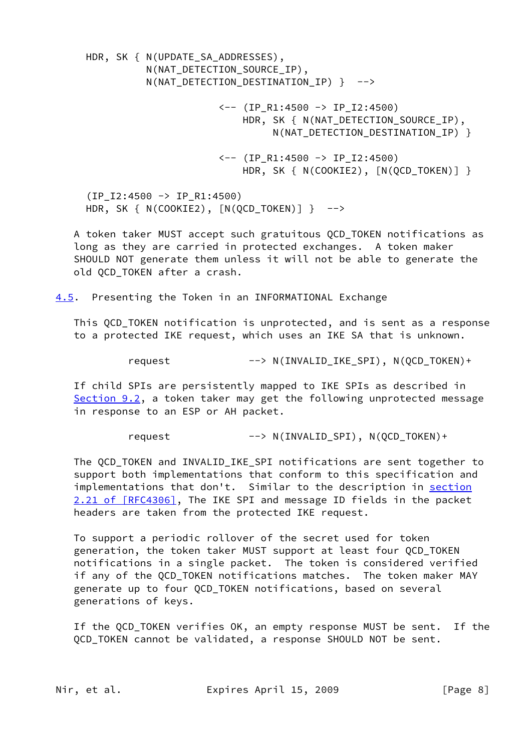HDR, SK { N(UPDATE\_SA\_ADDRESSES), N(NAT\_DETECTION\_SOURCE\_IP), N(NAT DETECTION DESTINATION IP) } --> <-- (IP\_R1:4500 -> IP\_I2:4500) HDR, SK { N(NAT\_DETECTION\_SOURCE\_IP), N(NAT\_DETECTION\_DESTINATION\_IP) } <-- (IP\_R1:4500 -> IP\_I2:4500) HDR, SK { N(COOKIE2),  $[N(QCD_TOKEN)]$  } (IP\_I2:4500 -> IP\_R1:4500) HDR, SK { N(COOKIE2),  $[N(QCD TOKEN)]$  } --> A token taker MUST accept such gratuitous QCD\_TOKEN notifications as long as they are carried in protected exchanges. A token maker SHOULD NOT generate them unless it will not be able to generate the old QCD\_TOKEN after a crash. [4.5](#page-8-0). Presenting the Token in an INFORMATIONAL Exchange This QCD\_TOKEN notification is unprotected, and is sent as a response to a protected IKE request, which uses an IKE SA that is unknown. request --> N(INVALID\_IKE\_SPI), N(QCD\_TOKEN)+

<span id="page-8-0"></span> If child SPIs are persistently mapped to IKE SPIs as described in [Section 9.2](#page-14-0), a token taker may get the following unprotected message in response to an ESP or AH packet.

request --> N(INVALID\_SPI), N(QCD\_TOKEN)+

 The QCD\_TOKEN and INVALID\_IKE\_SPI notifications are sent together to support both implementations that conform to this specification and implementations that don't. Similar to the description in [section](https://datatracker.ietf.org/doc/pdf/rfc4306#section-2.21) [2.21 of \[RFC4306\]](https://datatracker.ietf.org/doc/pdf/rfc4306#section-2.21), The IKE SPI and message ID fields in the packet headers are taken from the protected IKE request.

 To support a periodic rollover of the secret used for token generation, the token taker MUST support at least four QCD\_TOKEN notifications in a single packet. The token is considered verified if any of the QCD\_TOKEN notifications matches. The token maker MAY generate up to four QCD\_TOKEN notifications, based on several generations of keys.

 If the QCD\_TOKEN verifies OK, an empty response MUST be sent. If the QCD\_TOKEN cannot be validated, a response SHOULD NOT be sent.

Nir, et al. **Expires April 15, 2009** [Page 8]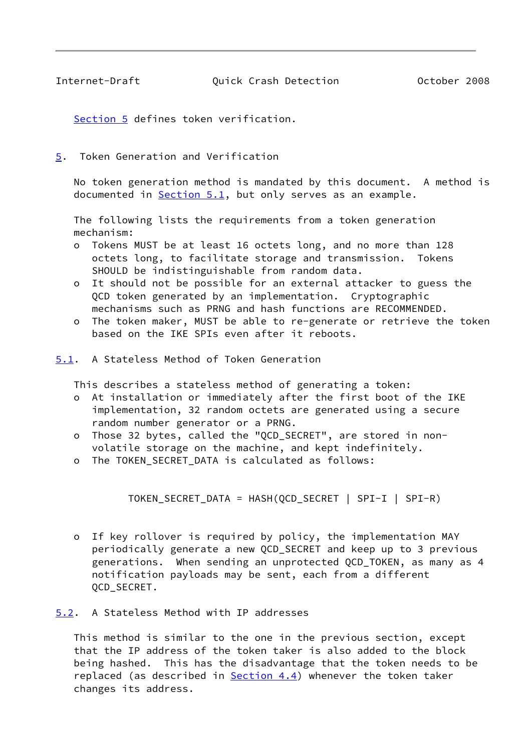<span id="page-9-1"></span>Internet-Draft Quick Crash Detection October 2008

[Section 5](#page-9-0) defines token verification.

<span id="page-9-0"></span>[5](#page-9-0). Token Generation and Verification

 No token generation method is mandated by this document. A method is documented in  $Section 5.1$ , but only serves as an example.

 The following lists the requirements from a token generation mechanism:

- o Tokens MUST be at least 16 octets long, and no more than 128 octets long, to facilitate storage and transmission. Tokens SHOULD be indistinguishable from random data.
- o It should not be possible for an external attacker to guess the QCD token generated by an implementation. Cryptographic mechanisms such as PRNG and hash functions are RECOMMENDED.
- o The token maker, MUST be able to re-generate or retrieve the token based on the IKE SPIs even after it reboots.
- <span id="page-9-2"></span>[5.1](#page-9-2). A Stateless Method of Token Generation

This describes a stateless method of generating a token:

- o At installation or immediately after the first boot of the IKE implementation, 32 random octets are generated using a secure random number generator or a PRNG.
- o Those 32 bytes, called the "QCD\_SECRET", are stored in non volatile storage on the machine, and kept indefinitely.
- o The TOKEN\_SECRET\_DATA is calculated as follows:

TOKEN\_SECRET\_DATA = HASH(QCD\_SECRET | SPI-I | SPI-R)

 o If key rollover is required by policy, the implementation MAY periodically generate a new QCD\_SECRET and keep up to 3 previous generations. When sending an unprotected QCD\_TOKEN, as many as 4 notification payloads may be sent, each from a different QCD\_SECRET.

<span id="page-9-3"></span>[5.2](#page-9-3). A Stateless Method with IP addresses

 This method is similar to the one in the previous section, except that the IP address of the token taker is also added to the block being hashed. This has the disadvantage that the token needs to be replaced (as described in **Section 4.4**) whenever the token taker changes its address.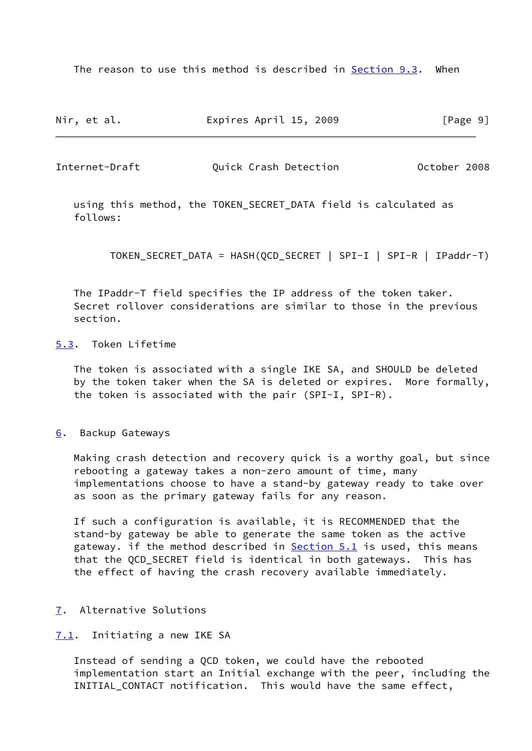The reason to use this method is described in [Section 9.3](#page-15-0). When

| Nir, et al. | Expires April 15, 2009 | [Page 9] |
|-------------|------------------------|----------|
|-------------|------------------------|----------|

<span id="page-10-1"></span>Internet-Draft Quick Crash Detection October 2008

 using this method, the TOKEN\_SECRET\_DATA field is calculated as follows:

TOKEN\_SECRET\_DATA = HASH(QCD\_SECRET | SPI-I | SPI-R | IPaddr-T)

 The IPaddr-T field specifies the IP address of the token taker. Secret rollover considerations are similar to those in the previous section.

# <span id="page-10-0"></span>[5.3](#page-10-0). Token Lifetime

 The token is associated with a single IKE SA, and SHOULD be deleted by the token taker when the SA is deleted or expires. More formally, the token is associated with the pair (SPI-I, SPI-R).

#### <span id="page-10-2"></span>[6](#page-10-2). Backup Gateways

 Making crash detection and recovery quick is a worthy goal, but since rebooting a gateway takes a non-zero amount of time, many implementations choose to have a stand-by gateway ready to take over as soon as the primary gateway fails for any reason.

 If such a configuration is available, it is RECOMMENDED that the stand-by gateway be able to generate the same token as the active gateway. if the method described in **Section 5.1** is used, this means that the QCD\_SECRET field is identical in both gateways. This has the effect of having the crash recovery available immediately.

### <span id="page-10-3"></span>[7](#page-10-3). Alternative Solutions

## <span id="page-10-4"></span>[7.1](#page-10-4). Initiating a new IKE SA

 Instead of sending a QCD token, we could have the rebooted implementation start an Initial exchange with the peer, including the INITIAL\_CONTACT notification. This would have the same effect,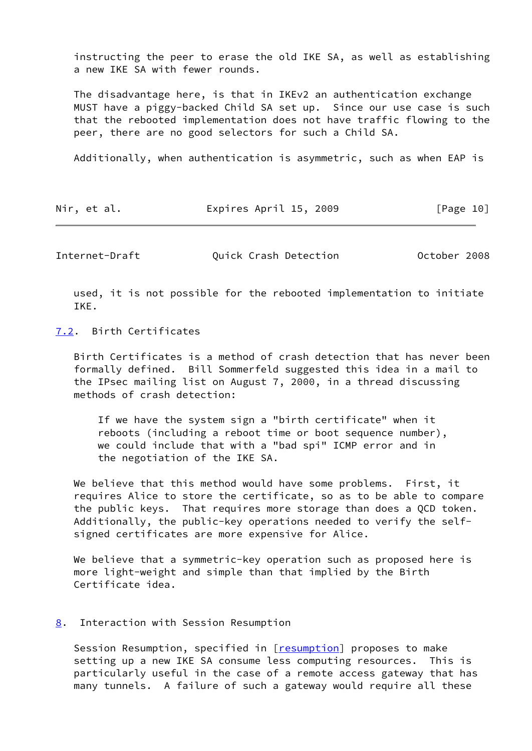instructing the peer to erase the old IKE SA, as well as establishing a new IKE SA with fewer rounds.

 The disadvantage here, is that in IKEv2 an authentication exchange MUST have a piggy-backed Child SA set up. Since our use case is such that the rebooted implementation does not have traffic flowing to the peer, there are no good selectors for such a Child SA.

Additionally, when authentication is asymmetric, such as when EAP is

| Nir, et al. | Expires April 15, 2009 |  | [Page 10] |
|-------------|------------------------|--|-----------|
|-------------|------------------------|--|-----------|

<span id="page-11-1"></span>Internet-Draft Quick Crash Detection October 2008

 used, it is not possible for the rebooted implementation to initiate IKE.

<span id="page-11-0"></span>[7.2](#page-11-0). Birth Certificates

 Birth Certificates is a method of crash detection that has never been formally defined. Bill Sommerfeld suggested this idea in a mail to the IPsec mailing list on August 7, 2000, in a thread discussing methods of crash detection:

 If we have the system sign a "birth certificate" when it reboots (including a reboot time or boot sequence number), we could include that with a "bad spi" ICMP error and in the negotiation of the IKE SA.

We believe that this method would have some problems. First, it requires Alice to store the certificate, so as to be able to compare the public keys. That requires more storage than does a QCD token. Additionally, the public-key operations needed to verify the self signed certificates are more expensive for Alice.

 We believe that a symmetric-key operation such as proposed here is more light-weight and simple than that implied by the Birth Certificate idea.

#### <span id="page-11-2"></span>[8](#page-11-2). Interaction with Session Resumption

Session Resumption, specified in [\[resumption\]](#page-19-2) proposes to make setting up a new IKE SA consume less computing resources. This is particularly useful in the case of a remote access gateway that has many tunnels. A failure of such a gateway would require all these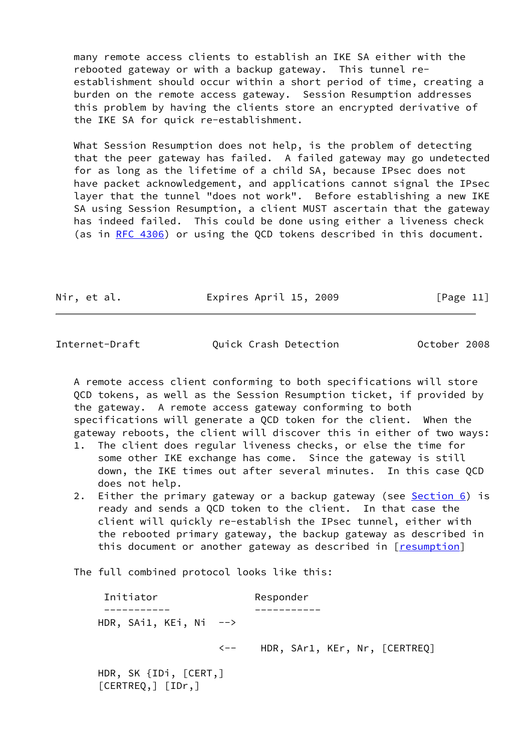many remote access clients to establish an IKE SA either with the rebooted gateway or with a backup gateway. This tunnel re establishment should occur within a short period of time, creating a burden on the remote access gateway. Session Resumption addresses this problem by having the clients store an encrypted derivative of the IKE SA for quick re-establishment.

 What Session Resumption does not help, is the problem of detecting that the peer gateway has failed. A failed gateway may go undetected for as long as the lifetime of a child SA, because IPsec does not have packet acknowledgement, and applications cannot signal the IPsec layer that the tunnel "does not work". Before establishing a new IKE SA using Session Resumption, a client MUST ascertain that the gateway has indeed failed. This could be done using either a liveness check (as in [RFC 4306\)](https://datatracker.ietf.org/doc/pdf/rfc4306) or using the QCD tokens described in this document.

Nir, et al. Expires April 15, 2009 [Page 11]

Internet-Draft Quick Crash Detection October 2008

 A remote access client conforming to both specifications will store QCD tokens, as well as the Session Resumption ticket, if provided by the gateway. A remote access gateway conforming to both specifications will generate a QCD token for the client. When the gateway reboots, the client will discover this in either of two ways:

- 1. The client does regular liveness checks, or else the time for some other IKE exchange has come. Since the gateway is still down, the IKE times out after several minutes. In this case QCD does not help.
- 2. Either the primary gateway or a backup gateway (see [Section 6](#page-10-2)) is ready and sends a QCD token to the client. In that case the client will quickly re-establish the IPsec tunnel, either with the rebooted primary gateway, the backup gateway as described in this document or another gateway as described in [\[resumption\]](#page-19-2)

The full combined protocol looks like this:

[CERTREQ,] [IDr,]

| Initiator               | Responder                     |
|-------------------------|-------------------------------|
|                         |                               |
| HDR, SAi1, KEi, Ni $--$ |                               |
| くーー                     | HDR, SAr1, KEr, Nr, [CERTREQ] |
| HDR, SK {IDi, [CERT,]   |                               |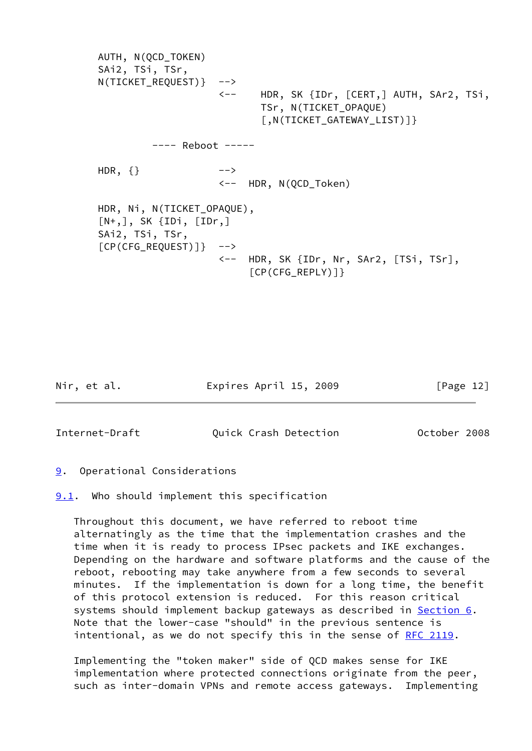AUTH, N(QCD\_TOKEN) SAi2, TSi, TSr, N(TICKET REQUEST)} --> <-- HDR, SK {IDr, [CERT,] AUTH, SAr2, TSi, TSr, N(TICKET\_OPAQUE) [,N(TICKET\_GATEWAY\_LIST)]} ---- Reboot ----- HDR,  $\{\}$  --> <-- HDR, N(QCD\_Token) HDR, Ni, N(TICKET\_OPAQUE),  $[N^+,], SK$  {IDi,  $[IDr, ]$  SAi2, TSi, TSr,  $[CP(CFG REQUEST)]$ } --> <-- HDR, SK {IDr, Nr, SAr2, [TSi, TSr],  $[CP(CFG_REPLY)]$ 

Nir, et al. Expires April 15, 2009 [Page 12]

<span id="page-13-1"></span>Internet-Draft Quick Crash Detection October 2008

<span id="page-13-0"></span>[9](#page-13-0). Operational Considerations

<span id="page-13-2"></span>**[9.1](#page-13-2).** Who should implement this specification

 Throughout this document, we have referred to reboot time alternatingly as the time that the implementation crashes and the time when it is ready to process IPsec packets and IKE exchanges. Depending on the hardware and software platforms and the cause of the reboot, rebooting may take anywhere from a few seconds to several minutes. If the implementation is down for a long time, the benefit of this protocol extension is reduced. For this reason critical systems should implement backup gateways as described in [Section 6](#page-10-2). Note that the lower-case "should" in the previous sentence is intentional, as we do not specify this in the sense of [RFC 2119.](https://datatracker.ietf.org/doc/pdf/rfc2119)

 Implementing the "token maker" side of QCD makes sense for IKE implementation where protected connections originate from the peer, such as inter-domain VPNs and remote access gateways. Implementing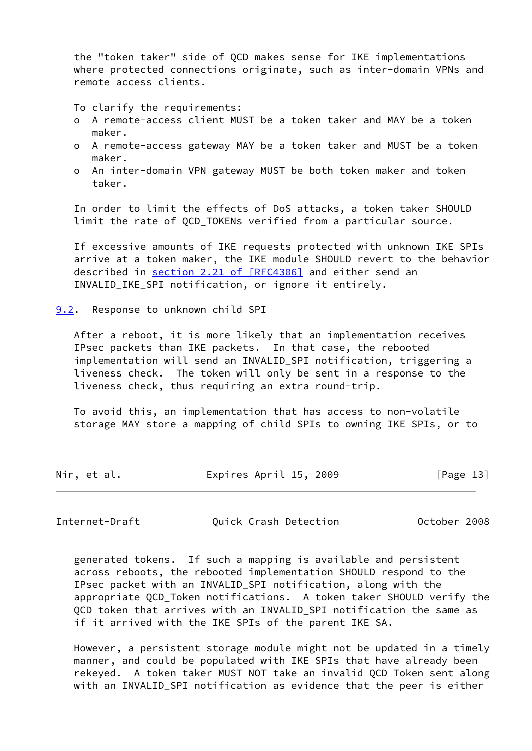the "token taker" side of QCD makes sense for IKE implementations where protected connections originate, such as inter-domain VPNs and remote access clients.

To clarify the requirements:

- o A remote-access client MUST be a token taker and MAY be a token maker.
- o A remote-access gateway MAY be a token taker and MUST be a token maker.
- o An inter-domain VPN gateway MUST be both token maker and token taker.

 In order to limit the effects of DoS attacks, a token taker SHOULD limit the rate of QCD\_TOKENs verified from a particular source.

 If excessive amounts of IKE requests protected with unknown IKE SPIs arrive at a token maker, the IKE module SHOULD revert to the behavior described in section [2.21 of \[RFC4306\]](https://datatracker.ietf.org/doc/pdf/rfc4306#section-2.21) and either send an INVALID\_IKE\_SPI notification, or ignore it entirely.

<span id="page-14-0"></span>[9.2](#page-14-0). Response to unknown child SPI

 After a reboot, it is more likely that an implementation receives IPsec packets than IKE packets. In that case, the rebooted implementation will send an INVALID\_SPI notification, triggering a liveness check. The token will only be sent in a response to the liveness check, thus requiring an extra round-trip.

 To avoid this, an implementation that has access to non-volatile storage MAY store a mapping of child SPIs to owning IKE SPIs, or to

| Nir, et al. | Expires April 15, 2009 | [Page 13] |
|-------------|------------------------|-----------|
|             |                        |           |

<span id="page-14-1"></span>Internet-Draft Quick Crash Detection October 2008

 generated tokens. If such a mapping is available and persistent across reboots, the rebooted implementation SHOULD respond to the IPsec packet with an INVALID\_SPI notification, along with the appropriate QCD\_Token notifications. A token taker SHOULD verify the QCD token that arrives with an INVALID\_SPI notification the same as if it arrived with the IKE SPIs of the parent IKE SA.

 However, a persistent storage module might not be updated in a timely manner, and could be populated with IKE SPIs that have already been rekeyed. A token taker MUST NOT take an invalid QCD Token sent along with an INVALID\_SPI notification as evidence that the peer is either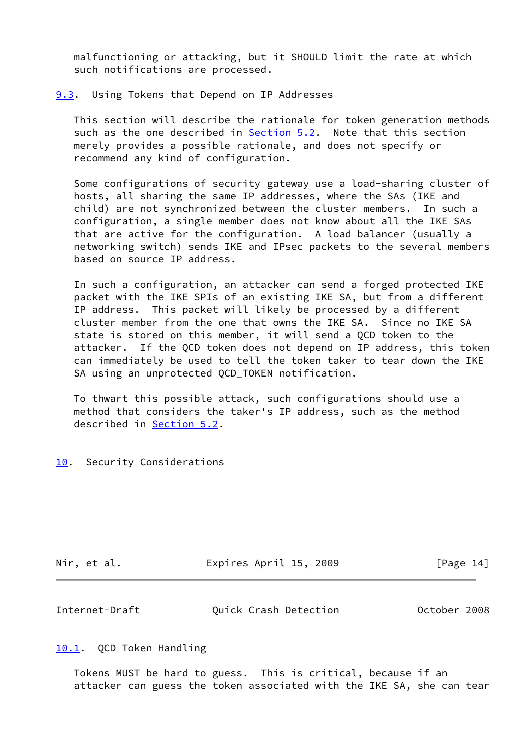malfunctioning or attacking, but it SHOULD limit the rate at which such notifications are processed.

#### <span id="page-15-0"></span>[9.3](#page-15-0). Using Tokens that Depend on IP Addresses

 This section will describe the rationale for token generation methods such as the one described in [Section 5.2](#page-9-3). Note that this section merely provides a possible rationale, and does not specify or recommend any kind of configuration.

 Some configurations of security gateway use a load-sharing cluster of hosts, all sharing the same IP addresses, where the SAs (IKE and child) are not synchronized between the cluster members. In such a configuration, a single member does not know about all the IKE SAs that are active for the configuration. A load balancer (usually a networking switch) sends IKE and IPsec packets to the several members based on source IP address.

 In such a configuration, an attacker can send a forged protected IKE packet with the IKE SPIs of an existing IKE SA, but from a different IP address. This packet will likely be processed by a different cluster member from the one that owns the IKE SA. Since no IKE SA state is stored on this member, it will send a QCD token to the attacker. If the QCD token does not depend on IP address, this token can immediately be used to tell the token taker to tear down the IKE SA using an unprotected QCD\_TOKEN notification.

 To thwart this possible attack, such configurations should use a method that considers the taker's IP address, such as the method described in [Section 5.2](#page-9-3).

#### <span id="page-15-1"></span>[10.](#page-15-1) Security Considerations

| Nir, et al. | Expires April 15, 2009 | [Page 14] |
|-------------|------------------------|-----------|
|-------------|------------------------|-----------|

<span id="page-15-3"></span>

| Internet-Draft | Quick Crash Detection | October 2008 |
|----------------|-----------------------|--------------|
|----------------|-----------------------|--------------|

#### <span id="page-15-2"></span>[10.1](#page-15-2). QCD Token Handling

 Tokens MUST be hard to guess. This is critical, because if an attacker can guess the token associated with the IKE SA, she can tear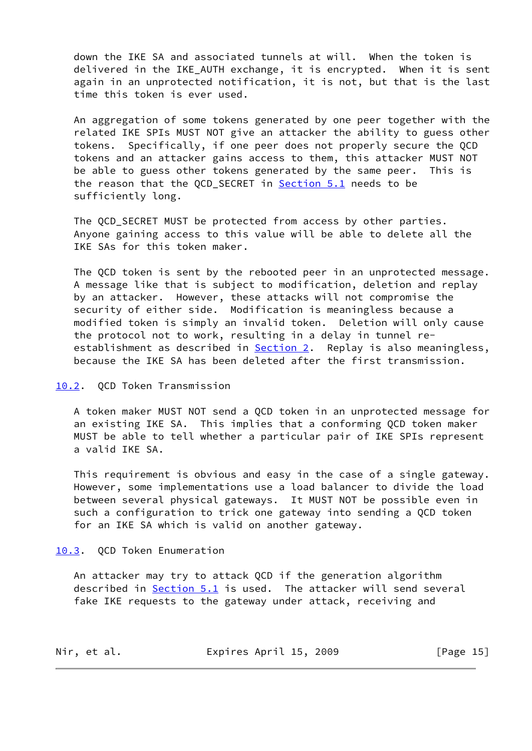down the IKE SA and associated tunnels at will. When the token is delivered in the IKE\_AUTH exchange, it is encrypted. When it is sent again in an unprotected notification, it is not, but that is the last time this token is ever used.

 An aggregation of some tokens generated by one peer together with the related IKE SPIs MUST NOT give an attacker the ability to guess other tokens. Specifically, if one peer does not properly secure the QCD tokens and an attacker gains access to them, this attacker MUST NOT be able to guess other tokens generated by the same peer. This is the reason that the QCD\_SECRET in [Section 5.1](#page-9-2) needs to be sufficiently long.

 The QCD\_SECRET MUST be protected from access by other parties. Anyone gaining access to this value will be able to delete all the IKE SAs for this token maker.

 The QCD token is sent by the rebooted peer in an unprotected message. A message like that is subject to modification, deletion and replay by an attacker. However, these attacks will not compromise the security of either side. Modification is meaningless because a modified token is simply an invalid token. Deletion will only cause the protocol not to work, resulting in a delay in tunnel re establishment as described in [Section 2.](#page-3-0) Replay is also meaningless, because the IKE SA has been deleted after the first transmission.

# <span id="page-16-0"></span>[10.2](#page-16-0). QCD Token Transmission

 A token maker MUST NOT send a QCD token in an unprotected message for an existing IKE SA. This implies that a conforming QCD token maker MUST be able to tell whether a particular pair of IKE SPIs represent a valid IKE SA.

 This requirement is obvious and easy in the case of a single gateway. However, some implementations use a load balancer to divide the load between several physical gateways. It MUST NOT be possible even in such a configuration to trick one gateway into sending a QCD token for an IKE SA which is valid on another gateway.

<span id="page-16-1"></span>[10.3](#page-16-1). QCD Token Enumeration

 An attacker may try to attack QCD if the generation algorithm described in [Section 5.1](#page-9-2) is used. The attacker will send several fake IKE requests to the gateway under attack, receiving and

| Nir, et al. | Expires April 15, 2009 |  | [Page 15] |  |
|-------------|------------------------|--|-----------|--|
|-------------|------------------------|--|-----------|--|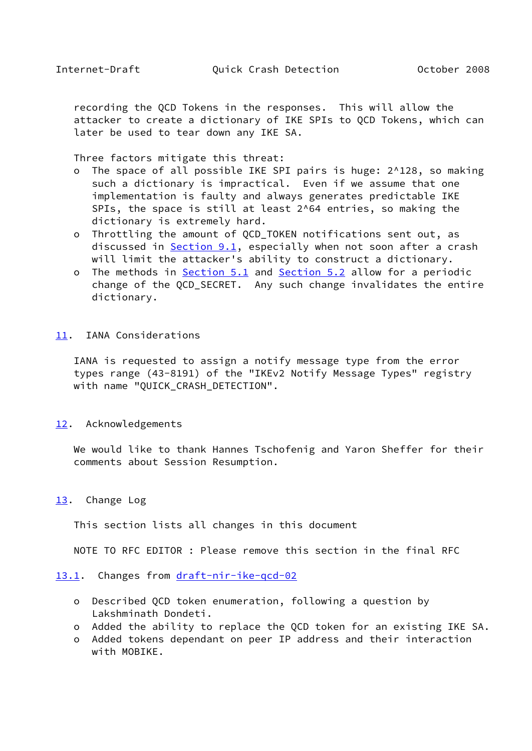<span id="page-17-1"></span> recording the QCD Tokens in the responses. This will allow the attacker to create a dictionary of IKE SPIs to QCD Tokens, which can later be used to tear down any IKE SA.

Three factors mitigate this threat:

- o The space of all possible IKE SPI pairs is huge: 2^128, so making such a dictionary is impractical. Even if we assume that one implementation is faulty and always generates predictable IKE SPIs, the space is still at least 2^64 entries, so making the dictionary is extremely hard.
- o Throttling the amount of QCD\_TOKEN notifications sent out, as discussed in [Section 9.1](#page-13-2), especially when not soon after a crash will limit the attacker's ability to construct a dictionary.
- o The methods in [Section 5.1](#page-9-2) and [Section 5.2](#page-9-3) allow for a periodic change of the QCD\_SECRET. Any such change invalidates the entire dictionary.
- <span id="page-17-0"></span>[11.](#page-17-0) IANA Considerations

 IANA is requested to assign a notify message type from the error types range (43-8191) of the "IKEv2 Notify Message Types" registry with name "QUICK\_CRASH\_DETECTION".

<span id="page-17-2"></span>[12.](#page-17-2) Acknowledgements

 We would like to thank Hannes Tschofenig and Yaron Sheffer for their comments about Session Resumption.

#### <span id="page-17-3"></span>[13.](#page-17-3) Change Log

This section lists all changes in this document

NOTE TO RFC EDITOR : Please remove this section in the final RFC

#### <span id="page-17-4"></span>[13.1](#page-17-4). Changes from [draft-nir-ike-qcd-02](https://datatracker.ietf.org/doc/pdf/draft-nir-ike-qcd-02)

- o Described QCD token enumeration, following a question by Lakshminath Dondeti.
- o Added the ability to replace the QCD token for an existing IKE SA.
- o Added tokens dependant on peer IP address and their interaction with MOBIKE.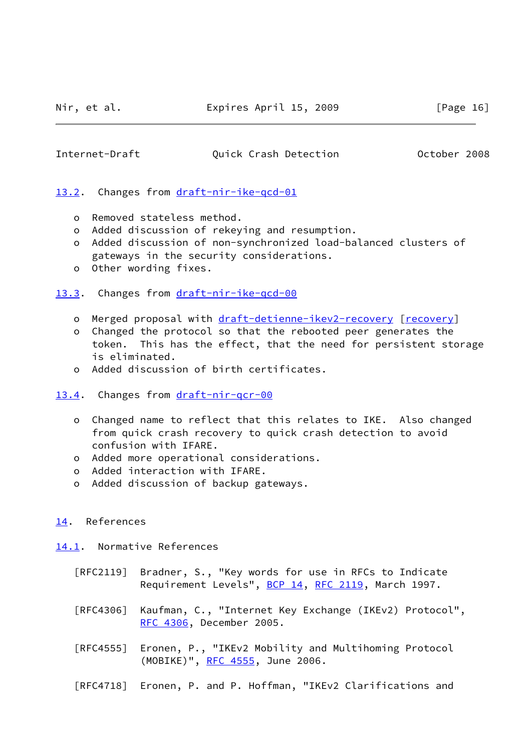# <span id="page-18-1"></span>Internet-Draft Quick Crash Detection October 2008

<span id="page-18-0"></span>[13.2](#page-18-0). Changes from draft-nir-ike-gcd-01

- o Removed stateless method.
- o Added discussion of rekeying and resumption.
- o Added discussion of non-synchronized load-balanced clusters of gateways in the security considerations.
- o Other wording fixes.
- <span id="page-18-2"></span>[13.3](#page-18-2). Changes from [draft-nir-ike-qcd-00](https://datatracker.ietf.org/doc/pdf/draft-nir-ike-qcd-00)
	- o Merged proposal with [draft-detienne-ikev2-recovery](https://datatracker.ietf.org/doc/pdf/draft-detienne-ikev2-recovery) [[recovery\]](#page-19-4)
	- o Changed the protocol so that the rebooted peer generates the token. This has the effect, that the need for persistent storage is eliminated.
	- o Added discussion of birth certificates.
- <span id="page-18-3"></span>[13.4](#page-18-3). Changes from [draft-nir-qcr-00](https://datatracker.ietf.org/doc/pdf/draft-nir-qcr-00)
	- o Changed name to reflect that this relates to IKE. Also changed from quick crash recovery to quick crash detection to avoid confusion with IFARE.
	- o Added more operational considerations.
	- o Added interaction with IFARE.
	- o Added discussion of backup gateways.
- <span id="page-18-4"></span>[14.](#page-18-4) References
- <span id="page-18-5"></span>[14.1](#page-18-5). Normative References
	- [RFC2119] Bradner, S., "Key words for use in RFCs to Indicate Requirement Levels", [BCP 14](https://datatracker.ietf.org/doc/pdf/bcp14), [RFC 2119](https://datatracker.ietf.org/doc/pdf/rfc2119), March 1997.
	- [RFC4306] Kaufman, C., "Internet Key Exchange (IKEv2) Protocol", [RFC 4306,](https://datatracker.ietf.org/doc/pdf/rfc4306) December 2005.
	- [RFC4555] Eronen, P., "IKEv2 Mobility and Multihoming Protocol (MOBIKE)", [RFC 4555](https://datatracker.ietf.org/doc/pdf/rfc4555), June 2006.
	- [RFC4718] Eronen, P. and P. Hoffman, "IKEv2 Clarifications and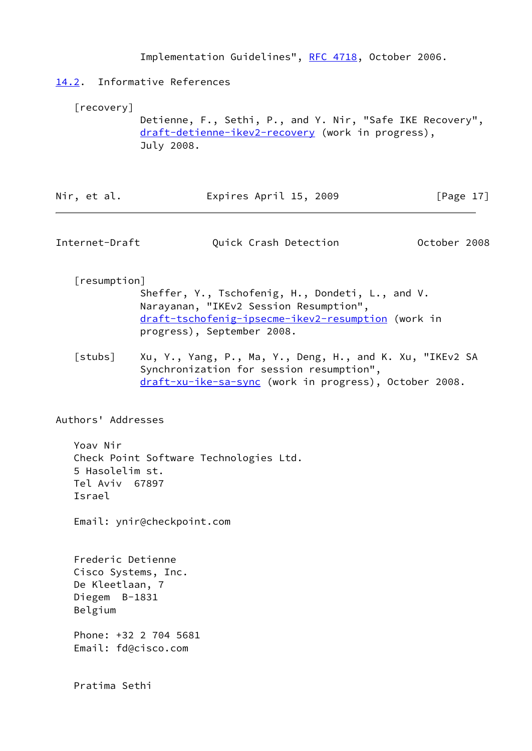Implementation Guidelines", [RFC 4718,](https://datatracker.ietf.org/doc/pdf/rfc4718) October 2006.

# <span id="page-19-0"></span>[14.2](#page-19-0). Informative References

<span id="page-19-4"></span>[recovery]

 Detienne, F., Sethi, P., and Y. Nir, "Safe IKE Recovery", [draft-detienne-ikev2-recovery](https://datatracker.ietf.org/doc/pdf/draft-detienne-ikev2-recovery) (work in progress), July 2008.

| Expires April 15, 2009<br>Nir, et al. | [Page 17] |
|---------------------------------------|-----------|
|---------------------------------------|-----------|

<span id="page-19-1"></span>

| Internet-Draft | Quick Crash Detection | October 2008 |  |
|----------------|-----------------------|--------------|--|
|----------------|-----------------------|--------------|--|

# <span id="page-19-2"></span>[resumption]

 Sheffer, Y., Tschofenig, H., Dondeti, L., and V. Narayanan, "IKEv2 Session Resumption", [draft-tschofenig-ipsecme-ikev2-resumption](https://datatracker.ietf.org/doc/pdf/draft-tschofenig-ipsecme-ikev2-resumption) (work in progress), September 2008.

<span id="page-19-3"></span>[stubs] Xu, Y., Yang, P., Ma, Y., Deng, H., and K. Xu, "IKEv2 SA Synchronization for session resumption", [draft-xu-ike-sa-sync](https://datatracker.ietf.org/doc/pdf/draft-xu-ike-sa-sync) (work in progress), October 2008.

Authors' Addresses

 Yoav Nir Check Point Software Technologies Ltd. 5 Hasolelim st. Tel Aviv 67897 Israel

Email: ynir@checkpoint.com

 Frederic Detienne Cisco Systems, Inc. De Kleetlaan, 7 Diegem B-1831 Belgium Phone: +32 2 704 5681 Email: fd@cisco.com

Pratima Sethi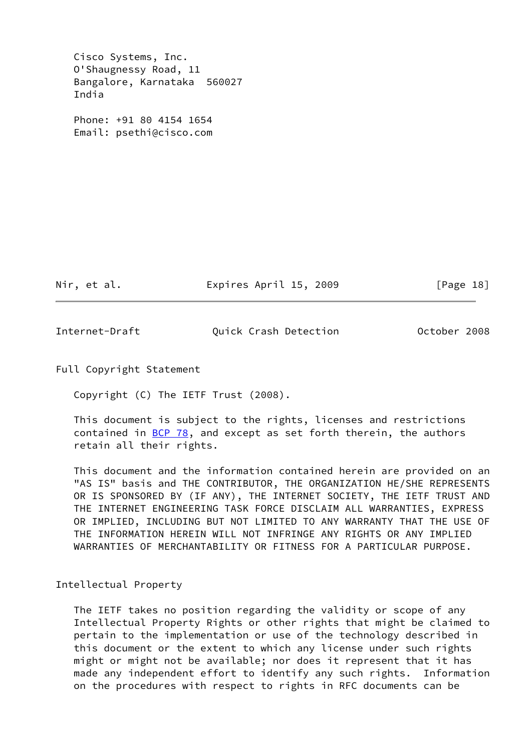Cisco Systems, Inc. O'Shaugnessy Road, 11 Bangalore, Karnataka 560027 India

 Phone: +91 80 4154 1654 Email: psethi@cisco.com

Nir, et al. **Expires April 15, 2009** [Page 18]

<span id="page-20-0"></span>Internet-Draft Quick Crash Detection October 2008

Full Copyright Statement

Copyright (C) The IETF Trust (2008).

 This document is subject to the rights, licenses and restrictions contained in  $BCP$  78, and except as set forth therein, the authors retain all their rights.

 This document and the information contained herein are provided on an "AS IS" basis and THE CONTRIBUTOR, THE ORGANIZATION HE/SHE REPRESENTS OR IS SPONSORED BY (IF ANY), THE INTERNET SOCIETY, THE IETF TRUST AND THE INTERNET ENGINEERING TASK FORCE DISCLAIM ALL WARRANTIES, EXPRESS OR IMPLIED, INCLUDING BUT NOT LIMITED TO ANY WARRANTY THAT THE USE OF THE INFORMATION HEREIN WILL NOT INFRINGE ANY RIGHTS OR ANY IMPLIED WARRANTIES OF MERCHANTABILITY OR FITNESS FOR A PARTICULAR PURPOSE.

Intellectual Property

 The IETF takes no position regarding the validity or scope of any Intellectual Property Rights or other rights that might be claimed to pertain to the implementation or use of the technology described in this document or the extent to which any license under such rights might or might not be available; nor does it represent that it has made any independent effort to identify any such rights. Information on the procedures with respect to rights in RFC documents can be